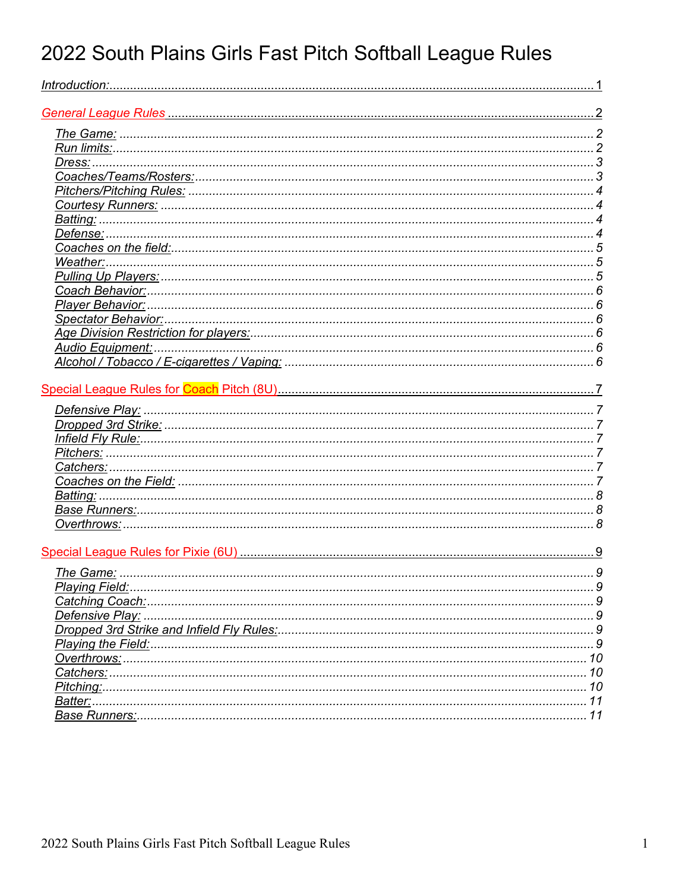# 2022 South Plains Girls Fast Pitch Softball League Rules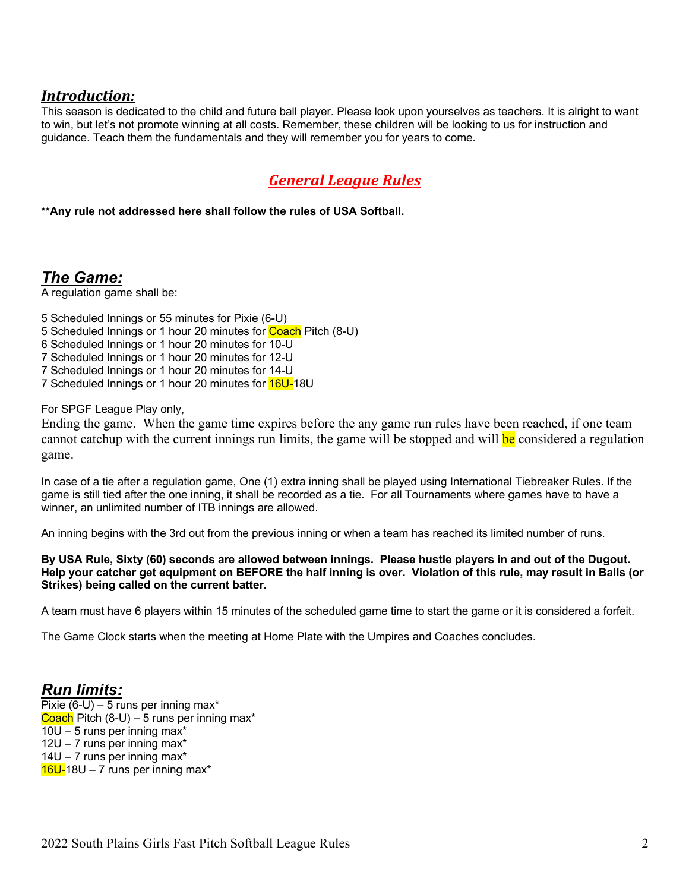#### *Introduction:*

This season is dedicated to the child and future ball player. Please look upon yourselves as teachers. It is alright to want to win, but let's not promote winning at all costs. Remember, these children will be looking to us for instruction and guidance. Teach them the fundamentals and they will remember you for years to come.

# *General League Rules*

**\*\*Any rule not addressed here shall follow the rules of USA Softball.**

*The Game:*

A regulation game shall be:

5 Scheduled Innings or 55 minutes for Pixie (6-U)

- 5 Scheduled Innings or 1 hour 20 minutes for Coach Pitch (8-U)
- 6 Scheduled Innings or 1 hour 20 minutes for 10-U
- 7 Scheduled Innings or 1 hour 20 minutes for 12-U
- 7 Scheduled Innings or 1 hour 20 minutes for 14-U
- 7 Scheduled Innings or 1 hour 20 minutes for 16U-18U

For SPGF League Play only,

Ending the game. When the game time expires before the any game run rules have been reached, if one team cannot catchup with the current innings run limits, the game will be stopped and will be considered a regulation game.

In case of a tie after a regulation game, One (1) extra inning shall be played using International Tiebreaker Rules. If the game is still tied after the one inning, it shall be recorded as a tie. For all Tournaments where games have to have a winner, an unlimited number of ITB innings are allowed.

An inning begins with the 3rd out from the previous inning or when a team has reached its limited number of runs.

**By USA Rule, Sixty (60) seconds are allowed between innings. Please hustle players in and out of the Dugout. Help your catcher get equipment on BEFORE the half inning is over. Violation of this rule, may result in Balls (or Strikes) being called on the current batter.** 

A team must have 6 players within 15 minutes of the scheduled game time to start the game or it is considered a forfeit.

The Game Clock starts when the meeting at Home Plate with the Umpires and Coaches concludes.

#### *Run limits:*

Pixie  $(6-U) - 5$  runs per inning max\* Coach Pitch  $(8-U) - 5$  runs per inning max<sup>\*</sup> 10U – 5 runs per inning max\* 12U – 7 runs per inning max\* 14U – 7 runs per inning max\*  $16U-18U - 7$  runs per inning max<sup>\*</sup>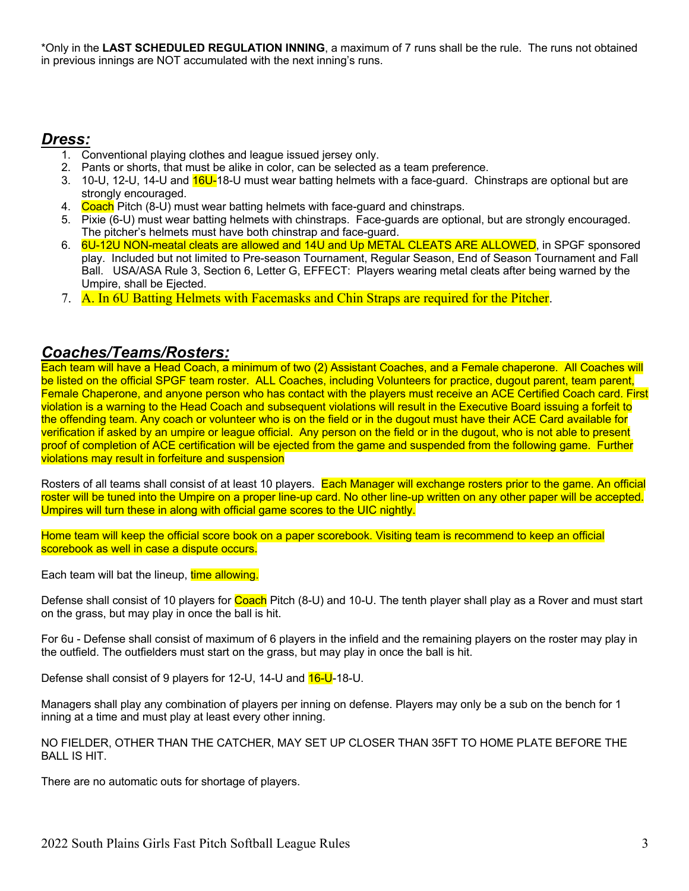\*Only in the **LAST SCHEDULED REGULATION INNING**, a maximum of 7 runs shall be the rule. The runs not obtained in previous innings are NOT accumulated with the next inning's runs.

#### *Dress:*

- 1. Conventional playing clothes and league issued jersey only.
- 2. Pants or shorts, that must be alike in color, can be selected as a team preference.
- 3. 10-U, 12-U, 14-U and 16U-18-U must wear batting helmets with a face-guard. Chinstraps are optional but are strongly encouraged.
- 4. Coach Pitch (8-U) must wear batting helmets with face-guard and chinstraps.
- 5. Pixie (6-U) must wear batting helmets with chinstraps. Face-guards are optional, but are strongly encouraged. The pitcher's helmets must have both chinstrap and face-guard.
- 6. 6U-12U NON-meatal cleats are allowed and 14U and Up METAL CLEATS ARE ALLOWED, in SPGF sponsored play. Included but not limited to Pre-season Tournament, Regular Season, End of Season Tournament and Fall Ball. USA/ASA Rule 3, Section 6, Letter G, EFFECT: Players wearing metal cleats after being warned by the Umpire, shall be Ejected.
- 7. A. In 6U Batting Helmets with Facemasks and Chin Straps are required for the Pitcher.

#### *Coaches/Teams/Rosters:*

Each team will have a Head Coach, a minimum of two (2) Assistant Coaches, and a Female chaperone. All Coaches will be listed on the official SPGF team roster. ALL Coaches, including Volunteers for practice, dugout parent, team parent, Female Chaperone, and anyone person who has contact with the players must receive an ACE Certified Coach card. First violation is a warning to the Head Coach and subsequent violations will result in the Executive Board issuing a forfeit to the offending team. Any coach or volunteer who is on the field or in the dugout must have their ACE Card available for verification if asked by an umpire or league official. Any person on the field or in the dugout, who is not able to present proof of completion of ACE certification will be ejected from the game and suspended from the following game. Further violations may result in forfeiture and suspension

Rosters of all teams shall consist of at least 10 players. Each Manager will exchange rosters prior to the game. An official roster will be tuned into the Umpire on a proper line-up card. No other line-up written on any other paper will be accepted. Umpires will turn these in along with official game scores to the UIC nightly.

Home team will keep the official score book on a paper scorebook. Visiting team is recommend to keep an official scorebook as well in case a dispute occurs.

Each team will bat the lineup, time allowing.

Defense shall consist of 10 players for Coach Pitch (8-U) and 10-U. The tenth player shall play as a Rover and must start on the grass, but may play in once the ball is hit.

For 6u - Defense shall consist of maximum of 6 players in the infield and the remaining players on the roster may play in the outfield. The outfielders must start on the grass, but may play in once the ball is hit.

Defense shall consist of 9 players for 12-U, 14-U and **16-U**-18-U.

Managers shall play any combination of players per inning on defense. Players may only be a sub on the bench for 1 inning at a time and must play at least every other inning.

NO FIELDER, OTHER THAN THE CATCHER, MAY SET UP CLOSER THAN 35FT TO HOME PLATE BEFORE THE BALL IS HIT.

There are no automatic outs for shortage of players.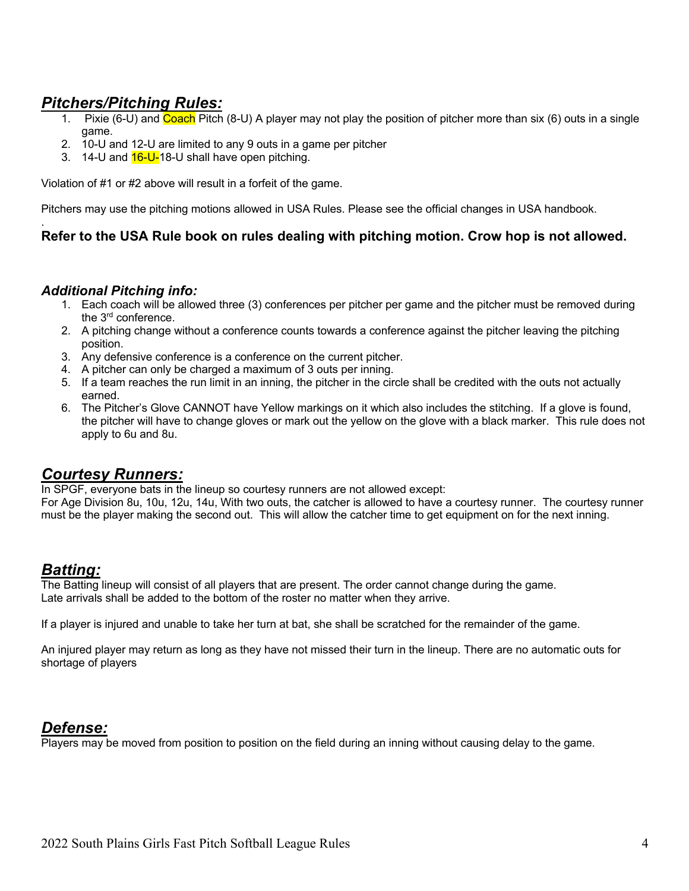# *Pitchers/Pitching Rules:*

- 1. Pixie (6-U) and Coach Pitch (8-U) A player may not play the position of pitcher more than six (6) outs in a single game.
- 2. 10-U and 12-U are limited to any 9 outs in a game per pitcher
- 3. 14-U and 16-U-18-U shall have open pitching.

Violation of #1 or #2 above will result in a forfeit of the game.

Pitchers may use the pitching motions allowed in USA Rules. Please see the official changes in USA handbook.

#### **Refer to the USA Rule book on rules dealing with pitching motion. Crow hop is not allowed.**

#### *Additional Pitching info:*

.

- 1. Each coach will be allowed three (3) conferences per pitcher per game and the pitcher must be removed during the 3rd conference.
- 2. A pitching change without a conference counts towards a conference against the pitcher leaving the pitching position.
- 3. Any defensive conference is a conference on the current pitcher.
- 4. A pitcher can only be charged a maximum of 3 outs per inning.
- 5. If a team reaches the run limit in an inning, the pitcher in the circle shall be credited with the outs not actually earned.
- 6. The Pitcher's Glove CANNOT have Yellow markings on it which also includes the stitching. If a glove is found, the pitcher will have to change gloves or mark out the yellow on the glove with a black marker. This rule does not apply to 6u and 8u.

#### *Courtesy Runners:*

In SPGF, everyone bats in the lineup so courtesy runners are not allowed except:

For Age Division 8u, 10u, 12u, 14u, With two outs, the catcher is allowed to have a courtesy runner. The courtesy runner must be the player making the second out. This will allow the catcher time to get equipment on for the next inning.

# *Batting:*

The Batting lineup will consist of all players that are present. The order cannot change during the game. Late arrivals shall be added to the bottom of the roster no matter when they arrive.

If a player is injured and unable to take her turn at bat, she shall be scratched for the remainder of the game.

An injured player may return as long as they have not missed their turn in the lineup. There are no automatic outs for shortage of players

#### *Defense:*

Players may be moved from position to position on the field during an inning without causing delay to the game.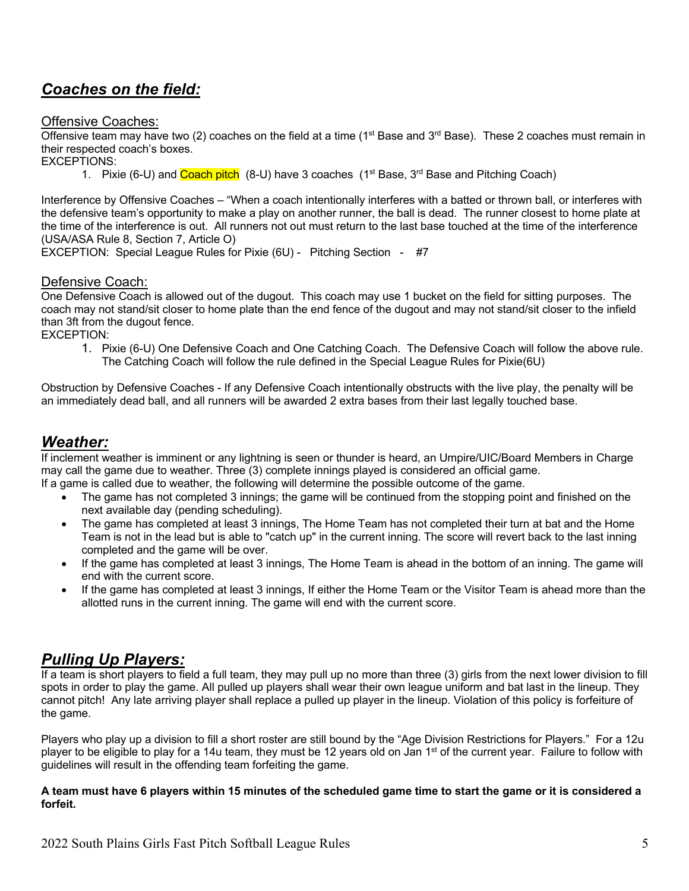# *Coaches on the field:*

#### Offensive Coaches:

Offensive team may have two (2) coaches on the field at a time (1<sup>st</sup> Base and 3<sup>rd</sup> Base). These 2 coaches must remain in their respected coach's boxes.

EXCEPTIONS:

1. Pixie (6-U) and Coach pitch (8-U) have 3 coaches  $(1<sup>st</sup>$  Base,  $3<sup>rd</sup>$  Base and Pitching Coach)

Interference by Offensive Coaches – "When a coach intentionally interferes with a batted or thrown ball, or interferes with the defensive team's opportunity to make a play on another runner, the ball is dead. The runner closest to home plate at the time of the interference is out. All runners not out must return to the last base touched at the time of the interference (USA/ASA Rule 8, Section 7, Article O)

EXCEPTION: Special League Rules for Pixie (6U) - Pitching Section - #7

#### Defensive Coach:

One Defensive Coach is allowed out of the dugout. This coach may use 1 bucket on the field for sitting purposes. The coach may not stand/sit closer to home plate than the end fence of the dugout and may not stand/sit closer to the infield than 3ft from the dugout fence.

EXCEPTION:

1. Pixie (6-U) One Defensive Coach and One Catching Coach. The Defensive Coach will follow the above rule. The Catching Coach will follow the rule defined in the Special League Rules for Pixie(6U)

Obstruction by Defensive Coaches - If any Defensive Coach intentionally obstructs with the live play, the penalty will be an immediately dead ball, and all runners will be awarded 2 extra bases from their last legally touched base.

#### *Weather:*

If inclement weather is imminent or any lightning is seen or thunder is heard, an Umpire/UIC/Board Members in Charge may call the game due to weather. Three (3) complete innings played is considered an official game.

- If a game is called due to weather, the following will determine the possible outcome of the game.
	- The game has not completed 3 innings; the game will be continued from the stopping point and finished on the next available day (pending scheduling).
	- The game has completed at least 3 innings, The Home Team has not completed their turn at bat and the Home Team is not in the lead but is able to "catch up" in the current inning. The score will revert back to the last inning completed and the game will be over.
	- If the game has completed at least 3 innings, The Home Team is ahead in the bottom of an inning. The game will end with the current score.
	- If the game has completed at least 3 innings, If either the Home Team or the Visitor Team is ahead more than the allotted runs in the current inning. The game will end with the current score.

#### *Pulling Up Players:*

If a team is short players to field a full team, they may pull up no more than three (3) girls from the next lower division to fill spots in order to play the game. All pulled up players shall wear their own league uniform and bat last in the lineup. They cannot pitch! Any late arriving player shall replace a pulled up player in the lineup. Violation of this policy is forfeiture of the game.

Players who play up a division to fill a short roster are still bound by the "Age Division Restrictions for Players." For a 12u player to be eligible to play for a 14u team, they must be 12 years old on Jan 1<sup>st</sup> of the current year. Failure to follow with guidelines will result in the offending team forfeiting the game.

#### **A team must have 6 players within 15 minutes of the scheduled game time to start the game or it is considered a forfeit.**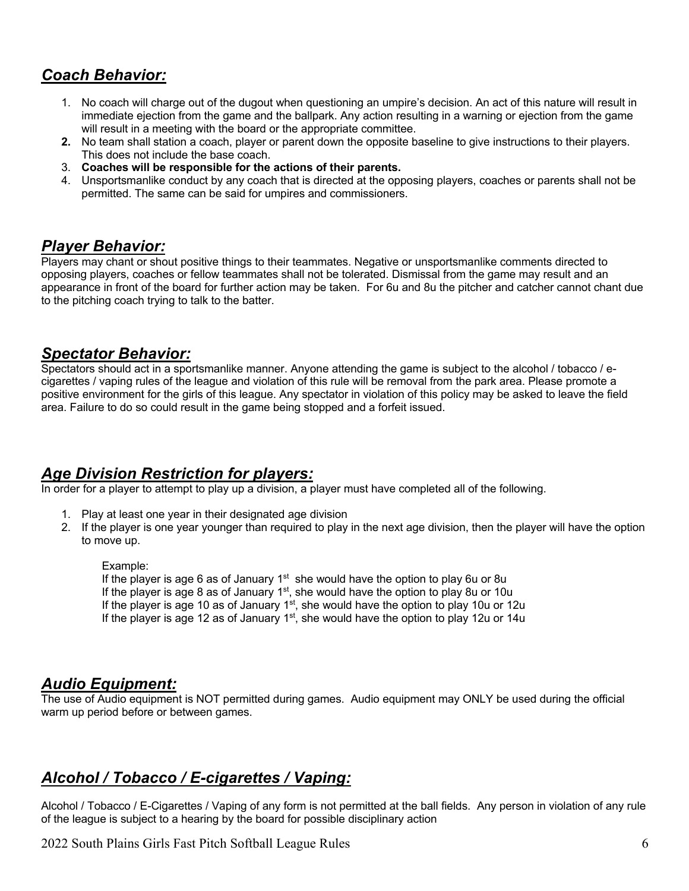# *Coach Behavior:*

- 1. No coach will charge out of the dugout when questioning an umpire's decision. An act of this nature will result in immediate ejection from the game and the ballpark. Any action resulting in a warning or ejection from the game will result in a meeting with the board or the appropriate committee.
- **2.** No team shall station a coach, player or parent down the opposite baseline to give instructions to their players. This does not include the base coach.
- 3. **Coaches will be responsible for the actions of their parents.**
- 4. Unsportsmanlike conduct by any coach that is directed at the opposing players, coaches or parents shall not be permitted. The same can be said for umpires and commissioners.

#### *Player Behavior:*

Players may chant or shout positive things to their teammates. Negative or unsportsmanlike comments directed to opposing players, coaches or fellow teammates shall not be tolerated. Dismissal from the game may result and an appearance in front of the board for further action may be taken. For 6u and 8u the pitcher and catcher cannot chant due to the pitching coach trying to talk to the batter.

#### *Spectator Behavior:*

Spectators should act in a sportsmanlike manner. Anyone attending the game is subject to the alcohol / tobacco / ecigarettes / vaping rules of the league and violation of this rule will be removal from the park area. Please promote a positive environment for the girls of this league. Any spectator in violation of this policy may be asked to leave the field area. Failure to do so could result in the game being stopped and a forfeit issued.

#### *Age Division Restriction for players:*

In order for a player to attempt to play up a division, a player must have completed all of the following.

- 1. Play at least one year in their designated age division
- 2. If the player is one year younger than required to play in the next age division, then the player will have the option to move up.

Example: If the player is age 6 as of January  $1<sup>st</sup>$  she would have the option to play 6u or 8u If the player is age 8 as of January  $1<sup>st</sup>$ , she would have the option to play 8u or 10u If the player is age 10 as of January  $1<sup>st</sup>$ , she would have the option to play 10u or 12u If the player is age 12 as of January  $1<sup>st</sup>$ , she would have the option to play 12u or 14u

#### *Audio Equipment:*

The use of Audio equipment is NOT permitted during games. Audio equipment may ONLY be used during the official warm up period before or between games.

# *Alcohol / Tobacco / E-cigarettes / Vaping:*

Alcohol / Tobacco / E-Cigarettes / Vaping of any form is not permitted at the ball fields. Any person in violation of any rule of the league is subject to a hearing by the board for possible disciplinary action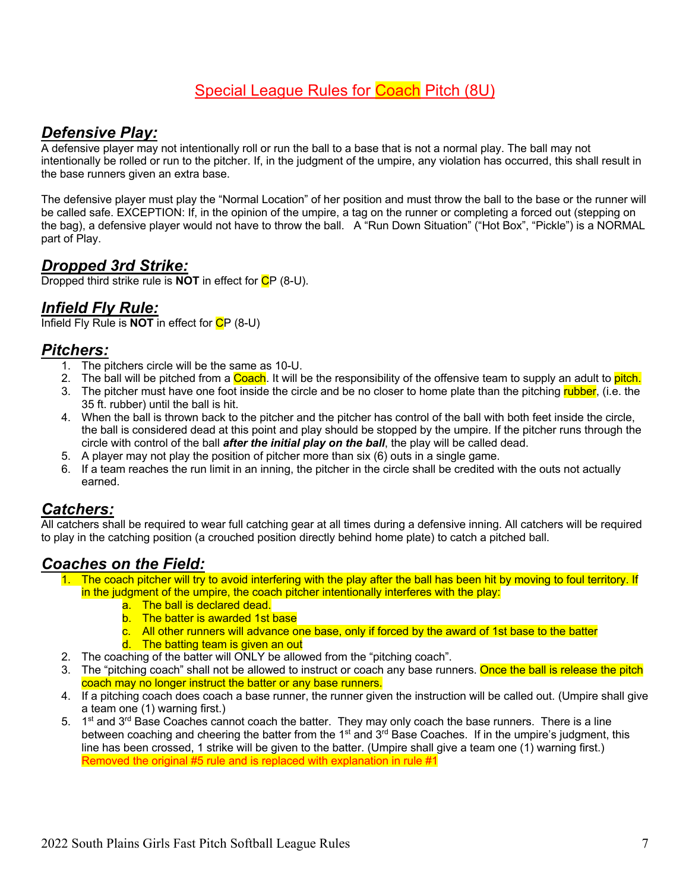# Special League Rules for Coach Pitch (8U)

## *Defensive Play:*

A defensive player may not intentionally roll or run the ball to a base that is not a normal play. The ball may not intentionally be rolled or run to the pitcher. If, in the judgment of the umpire, any violation has occurred, this shall result in the base runners given an extra base.

The defensive player must play the "Normal Location" of her position and must throw the ball to the base or the runner will be called safe. EXCEPTION: If, in the opinion of the umpire, a tag on the runner or completing a forced out (stepping on the bag), a defensive player would not have to throw the ball. A "Run Down Situation" ("Hot Box", "Pickle") is a NORMAL part of Play.

#### *Dropped 3rd Strike:*

Dropped third strike rule is **NOT** in effect for CP (8-U).

## *Infield Fly Rule:*

Infield Fly Rule is **NOT** in effect for CP (8-U)

#### *Pitchers:*

- 1. The pitchers circle will be the same as 10-U.
- 2. The ball will be pitched from a Coach. It will be the responsibility of the offensive team to supply an adult to pitch.
- 3. The pitcher must have one foot inside the circle and be no closer to home plate than the pitching rubber, (i.e. the 35 ft. rubber) until the ball is hit.
- 4. When the ball is thrown back to the pitcher and the pitcher has control of the ball with both feet inside the circle, the ball is considered dead at this point and play should be stopped by the umpire. If the pitcher runs through the circle with control of the ball *after the initial play on the ball*, the play will be called dead.
- 5. A player may not play the position of pitcher more than six (6) outs in a single game.
- 6. If a team reaches the run limit in an inning, the pitcher in the circle shall be credited with the outs not actually earned.

#### *Catchers:*

All catchers shall be required to wear full catching gear at all times during a defensive inning. All catchers will be required to play in the catching position (a crouched position directly behind home plate) to catch a pitched ball.

#### *Coaches on the Field:*

- 1. The coach pitcher will try to avoid interfering with the play after the ball has been hit by moving to foul territory. If in the judgment of the umpire, the coach pitcher intentionally interferes with the play:
	- a. The ball is declared dead.
	- b. The batter is awarded 1st base
	- c. All other runners will advance one base, only if forced by the award of 1st base to the batter
		- d. The batting team is given an out
- 2. The coaching of the batter will ONLY be allowed from the "pitching coach".
- 3. The "pitching coach" shall not be allowed to instruct or coach any base runners. Once the ball is release the pitch coach may no longer instruct the batter or any base runners.
- 4. If a pitching coach does coach a base runner, the runner given the instruction will be called out. (Umpire shall give a team one (1) warning first.)
- 5. 1<sup>st</sup> and 3<sup>rd</sup> Base Coaches cannot coach the batter. They may only coach the base runners. There is a line between coaching and cheering the batter from the  $1<sup>st</sup>$  and  $3<sup>rd</sup>$  Base Coaches. If in the umpire's judgment, this line has been crossed, 1 strike will be given to the batter. (Umpire shall give a team one (1) warning first.) Removed the original #5 rule and is replaced with explanation in rule #1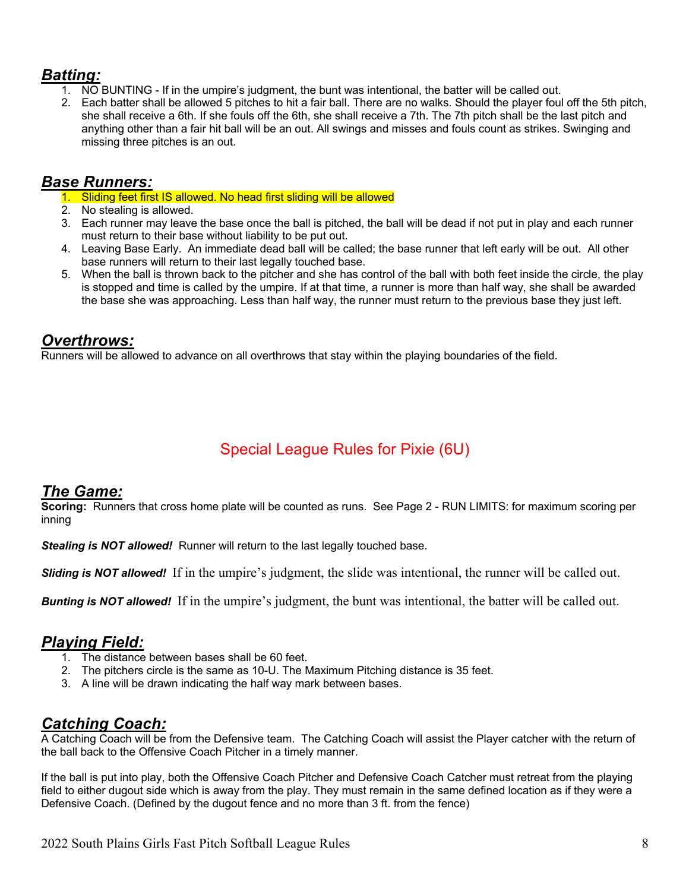# *Batting:*

- 1. NO BUNTING If in the umpire's judgment, the bunt was intentional, the batter will be called out.
- 2. Each batter shall be allowed 5 pitches to hit a fair ball. There are no walks. Should the player foul off the 5th pitch, she shall receive a 6th. If she fouls off the 6th, she shall receive a 7th. The 7th pitch shall be the last pitch and anything other than a fair hit ball will be an out. All swings and misses and fouls count as strikes. Swinging and missing three pitches is an out.

### *Base Runners:*

- 1. Sliding feet first IS allowed. No head first sliding will be allowed
- 2. No stealing is allowed.
- 3. Each runner may leave the base once the ball is pitched, the ball will be dead if not put in play and each runner must return to their base without liability to be put out.
- 4. Leaving Base Early. An immediate dead ball will be called; the base runner that left early will be out. All other base runners will return to their last legally touched base.
- 5. When the ball is thrown back to the pitcher and she has control of the ball with both feet inside the circle, the play is stopped and time is called by the umpire. If at that time, a runner is more than half way, she shall be awarded the base she was approaching. Less than half way, the runner must return to the previous base they just left.

#### *Overthrows:*

Runners will be allowed to advance on all overthrows that stay within the playing boundaries of the field.

# Special League Rules for Pixie (6U)

#### *The Game:*

**Scoring:** Runners that cross home plate will be counted as runs. See Page 2 - RUN LIMITS: for maximum scoring per inning

**Stealing is NOT allowed!** Runner will return to the last legally touched base.

*Sliding is NOT allowed!* If in the umpire's judgment, the slide was intentional, the runner will be called out.

*Bunting is NOT allowed!* If in the umpire's judgment, the bunt was intentional, the batter will be called out.

# *Playing Field:*

- 1. The distance between bases shall be 60 feet.
- 2. The pitchers circle is the same as 10-U. The Maximum Pitching distance is 35 feet.
- 3. A line will be drawn indicating the half way mark between bases.

#### *Catching Coach:*

A Catching Coach will be from the Defensive team. The Catching Coach will assist the Player catcher with the return of the ball back to the Offensive Coach Pitcher in a timely manner.

If the ball is put into play, both the Offensive Coach Pitcher and Defensive Coach Catcher must retreat from the playing field to either dugout side which is away from the play. They must remain in the same defined location as if they were a Defensive Coach. (Defined by the dugout fence and no more than 3 ft. from the fence)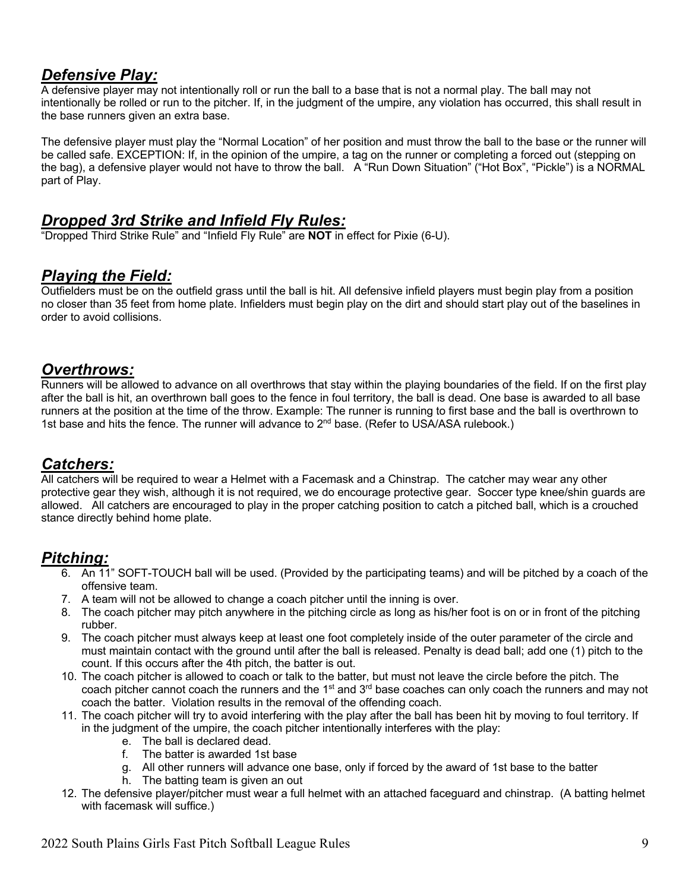### *Defensive Play:*

A defensive player may not intentionally roll or run the ball to a base that is not a normal play. The ball may not intentionally be rolled or run to the pitcher. If, in the judgment of the umpire, any violation has occurred, this shall result in the base runners given an extra base.

The defensive player must play the "Normal Location" of her position and must throw the ball to the base or the runner will be called safe. EXCEPTION: If, in the opinion of the umpire, a tag on the runner or completing a forced out (stepping on the bag), a defensive player would not have to throw the ball. A "Run Down Situation" ("Hot Box", "Pickle") is a NORMAL part of Play.

## *Dropped 3rd Strike and Infield Fly Rules:*

"Dropped Third Strike Rule" and "Infield Fly Rule" are **NOT** in effect for Pixie (6-U).

## *Playing the Field:*

Outfielders must be on the outfield grass until the ball is hit. All defensive infield players must begin play from a position no closer than 35 feet from home plate. Infielders must begin play on the dirt and should start play out of the baselines in order to avoid collisions.

#### *Overthrows:*

Runners will be allowed to advance on all overthrows that stay within the playing boundaries of the field. If on the first play after the ball is hit, an overthrown ball goes to the fence in foul territory, the ball is dead. One base is awarded to all base runners at the position at the time of the throw. Example: The runner is running to first base and the ball is overthrown to 1st base and hits the fence. The runner will advance to  $2<sup>nd</sup>$  base. (Refer to USA/ASA rulebook.)

#### *Catchers:*

All catchers will be required to wear a Helmet with a Facemask and a Chinstrap. The catcher may wear any other protective gear they wish, although it is not required, we do encourage protective gear. Soccer type knee/shin guards are allowed. All catchers are encouraged to play in the proper catching position to catch a pitched ball, which is a crouched stance directly behind home plate.

# *Pitching:*

- 6. An 11" SOFT-TOUCH ball will be used. (Provided by the participating teams) and will be pitched by a coach of the offensive team.
- 7. A team will not be allowed to change a coach pitcher until the inning is over.
- 8. The coach pitcher may pitch anywhere in the pitching circle as long as his/her foot is on or in front of the pitching rubber.
- 9. The coach pitcher must always keep at least one foot completely inside of the outer parameter of the circle and must maintain contact with the ground until after the ball is released. Penalty is dead ball; add one (1) pitch to the count. If this occurs after the 4th pitch, the batter is out.
- 10. The coach pitcher is allowed to coach or talk to the batter, but must not leave the circle before the pitch. The coach pitcher cannot coach the runners and the 1<sup>st</sup> and 3<sup>rd</sup> base coaches can only coach the runners and may not coach the batter. Violation results in the removal of the offending coach.
- 11. The coach pitcher will try to avoid interfering with the play after the ball has been hit by moving to foul territory. If in the judgment of the umpire, the coach pitcher intentionally interferes with the play:
	- e. The ball is declared dead.<br>f. The batter is awarded 1st
	- The batter is awarded 1st base
	- g. All other runners will advance one base, only if forced by the award of 1st base to the batter
	- h. The batting team is given an out
- 12. The defensive player/pitcher must wear a full helmet with an attached faceguard and chinstrap. (A batting helmet with facemask will suffice.)